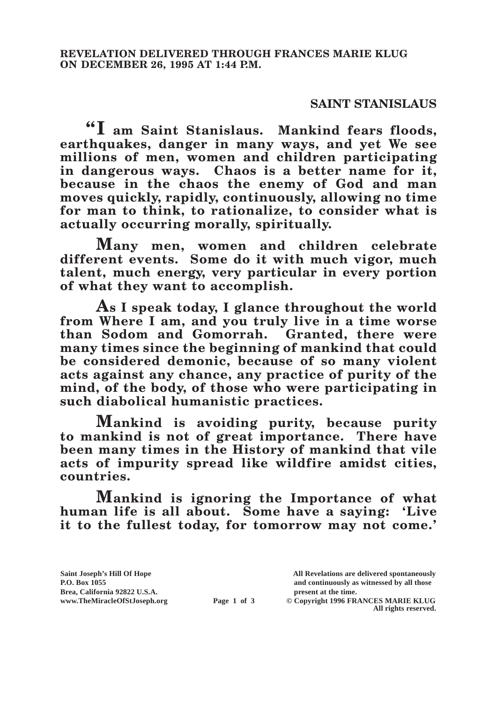## **SAINT STANISLAUS**

**"I am Saint Stanislaus. Mankind fears floods, earthquakes, danger in many ways, and yet We see millions of men, women and children participating in dangerous ways. Chaos is a better name for it, because in the chaos the enemy of God and man moves quickly, rapidly, continuously, allowing no time for man to think, to rationalize, to consider what is actually occurring morally, spiritually.**

**Many men, women and children celebrate different events. Some do it with much vigor, much talent, much energy, very particular in every portion of what they want to accomplish.**

**As I speak today, I glance throughout the world from Where I am, and you truly live in a time worse than Sodom and Gomorrah. Granted, there were many times since the beginning of mankind that could be considered demonic, because of so many violent acts against any chance, any practice of purity of the mind, of the body, of those who were participating in such diabolical humanistic practices.**

**Mankind is avoiding purity, because purity to mankind is not of great importance. There have been many times in the History of mankind that vile acts of impurity spread like wildfire amidst cities, countries.**

**Mankind is ignoring the Importance of what human life is all about. Some have a saying: 'Live it to the fullest today, for tomorrow may not come.'** 

**Saint Joseph's Hill Of Hope All Revelations are delivered spontaneously** Brea, California 92822 U.S.A.<br>
www.TheMiracleOfStJoseph.org<br> **Page 1 of 3** © Copyright 1996 FR.

**P.O. Box 1055 and continuously as witnessed by all those Page 1 of 3** © Copyright 1996 FRANCES MARIE KLUG

**All rights reserved.**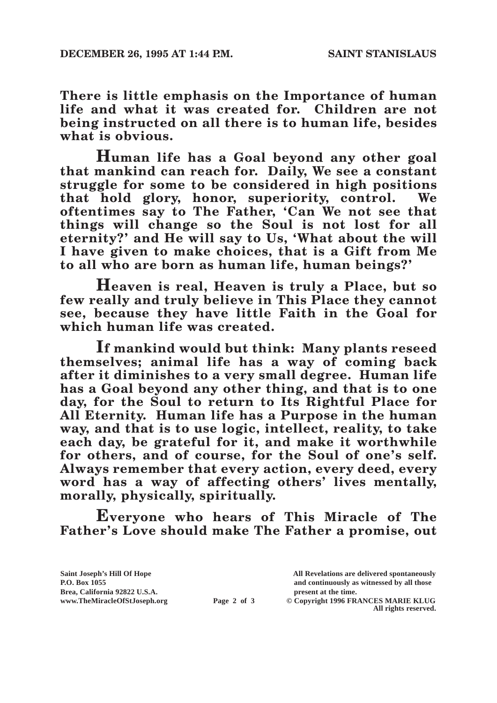**There is little emphasis on the Importance of human life and what it was created for. Children are not being instructed on all there is to human life, besides what is obvious.**

**Human life has a Goal beyond any other goal that mankind can reach for. Daily, We see a constant struggle for some to be considered in high positions that hold glory, honor, superiority, control. We oftentimes say to The Father, 'Can We not see that things will change so the Soul is not lost for all eternity?' and He will say to Us, 'What about the will I have given to make choices, that is a Gift from Me to all who are born as human life, human beings?'**

**Heaven is real, Heaven is truly a Place, but so few really and truly believe in This Place they cannot see, because they have little Faith in the Goal for which human life was created.**

**If mankind would but think: Many plants reseed themselves; animal life has a way of coming back after it diminishes to a very small degree. Human life has a Goal beyond any other thing, and that is to one day, for the Soul to return to Its Rightful Place for All Eternity. Human life has a Purpose in the human way, and that is to use logic, intellect, reality, to take each day, be grateful for it, and make it worthwhile for others, and of course, for the Soul of one's self. Always remember that every action, every deed, every word has a way of affecting others' lives mentally, morally, physically, spiritually.**

**Everyone who hears of This Miracle of The Father's Love should make The Father a promise, out** 

Brea, California 92822 U.S.A.<br>
www.TheMiracleOfStJoseph.org<br> **Page 2 of 3** © Copyright 1996 FR.

**Saint Joseph's Hill Of Hope All Revelations are delivered spontaneously P.O. Box 1055 and continuously as witnessed by all those** 

**Page 2 of 3** © Copyright 1996 FRANCES MARIE KLUG **All rights reserved.**